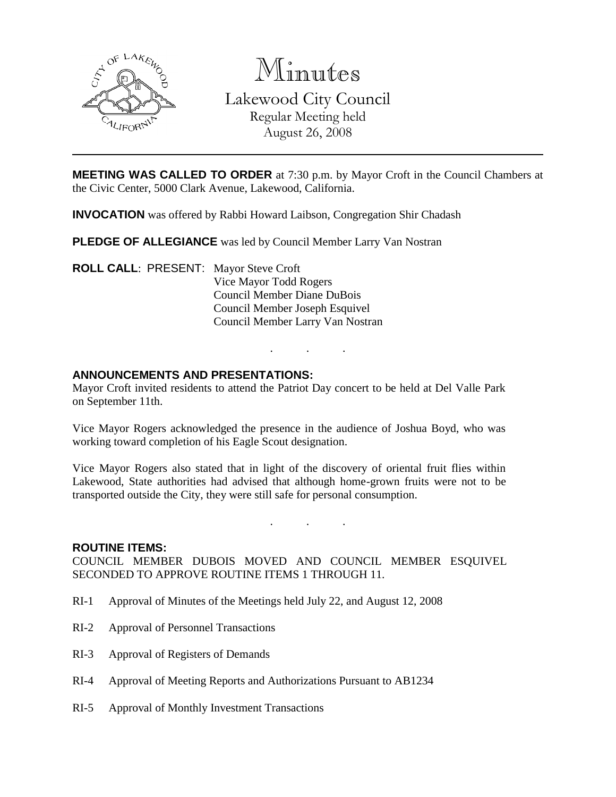

Minutes Lakewood City Council Regular Meeting held August 26, 2008

**MEETING WAS CALLED TO ORDER** at 7:30 p.m. by Mayor Croft in the Council Chambers at the Civic Center, 5000 Clark Avenue, Lakewood, California.

**INVOCATION** was offered by Rabbi Howard Laibson, Congregation Shir Chadash

**PLEDGE OF ALLEGIANCE** was led by Council Member Larry Van Nostran

**ROLL CALL**: PRESENT: Mayor Steve Croft Vice Mayor Todd Rogers Council Member Diane DuBois Council Member Joseph Esquivel Council Member Larry Van Nostran

#### **ANNOUNCEMENTS AND PRESENTATIONS:**

Mayor Croft invited residents to attend the Patriot Day concert to be held at Del Valle Park on September 11th.

. . .

Vice Mayor Rogers acknowledged the presence in the audience of Joshua Boyd, who was working toward completion of his Eagle Scout designation.

Vice Mayor Rogers also stated that in light of the discovery of oriental fruit flies within Lakewood, State authorities had advised that although home-grown fruits were not to be transported outside the City, they were still safe for personal consumption.

. . .

#### **ROUTINE ITEMS:**

COUNCIL MEMBER DUBOIS MOVED AND COUNCIL MEMBER ESQUIVEL SECONDED TO APPROVE ROUTINE ITEMS 1 THROUGH 11.

- RI-1 Approval of Minutes of the Meetings held July 22, and August 12, 2008
- RI-2 Approval of Personnel Transactions
- RI-3 Approval of Registers of Demands
- RI-4 Approval of Meeting Reports and Authorizations Pursuant to AB1234
- RI-5 Approval of Monthly Investment Transactions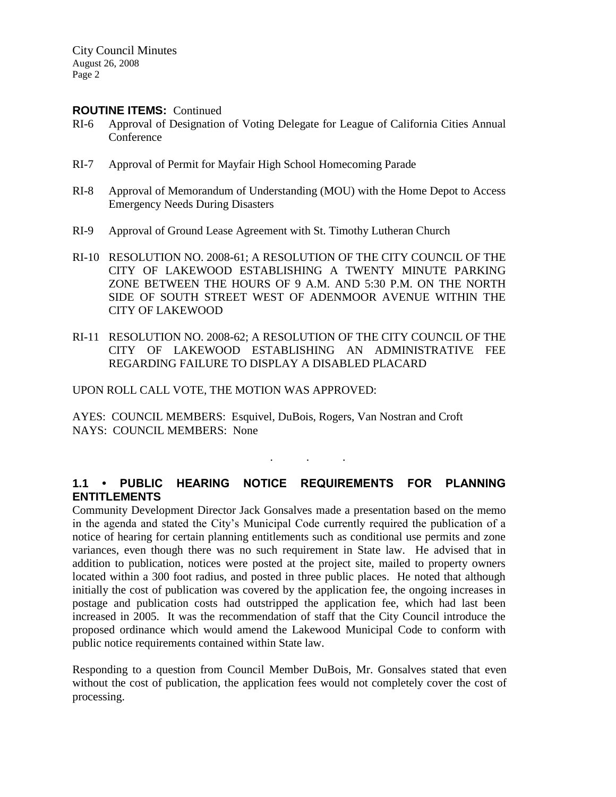#### **ROUTINE ITEMS:** Continued

- RI-6 Approval of Designation of Voting Delegate for League of California Cities Annual Conference
- RI-7 Approval of Permit for Mayfair High School Homecoming Parade
- RI-8 Approval of Memorandum of Understanding (MOU) with the Home Depot to Access Emergency Needs During Disasters
- RI-9 Approval of Ground Lease Agreement with St. Timothy Lutheran Church
- RI-10 RESOLUTION NO. 2008-61; A RESOLUTION OF THE CITY COUNCIL OF THE CITY OF LAKEWOOD ESTABLISHING A TWENTY MINUTE PARKING ZONE BETWEEN THE HOURS OF 9 A.M. AND 5:30 P.M. ON THE NORTH SIDE OF SOUTH STREET WEST OF ADENMOOR AVENUE WITHIN THE CITY OF LAKEWOOD
- RI-11 RESOLUTION NO. 2008-62; A RESOLUTION OF THE CITY COUNCIL OF THE CITY OF LAKEWOOD ESTABLISHING AN ADMINISTRATIVE FEE REGARDING FAILURE TO DISPLAY A DISABLED PLACARD

#### UPON ROLL CALL VOTE, THE MOTION WAS APPROVED:

AYES: COUNCIL MEMBERS: Esquivel, DuBois, Rogers, Van Nostran and Croft NAYS: COUNCIL MEMBERS: None

# **1.1 • PUBLIC HEARING NOTICE REQUIREMENTS FOR PLANNING ENTITLEMENTS**

. . .

Community Development Director Jack Gonsalves made a presentation based on the memo in the agenda and stated the City's Municipal Code currently required the publication of a notice of hearing for certain planning entitlements such as conditional use permits and zone variances, even though there was no such requirement in State law. He advised that in addition to publication, notices were posted at the project site, mailed to property owners located within a 300 foot radius, and posted in three public places. He noted that although initially the cost of publication was covered by the application fee, the ongoing increases in postage and publication costs had outstripped the application fee, which had last been increased in 2005. It was the recommendation of staff that the City Council introduce the proposed ordinance which would amend the Lakewood Municipal Code to conform with public notice requirements contained within State law.

Responding to a question from Council Member DuBois, Mr. Gonsalves stated that even without the cost of publication, the application fees would not completely cover the cost of processing.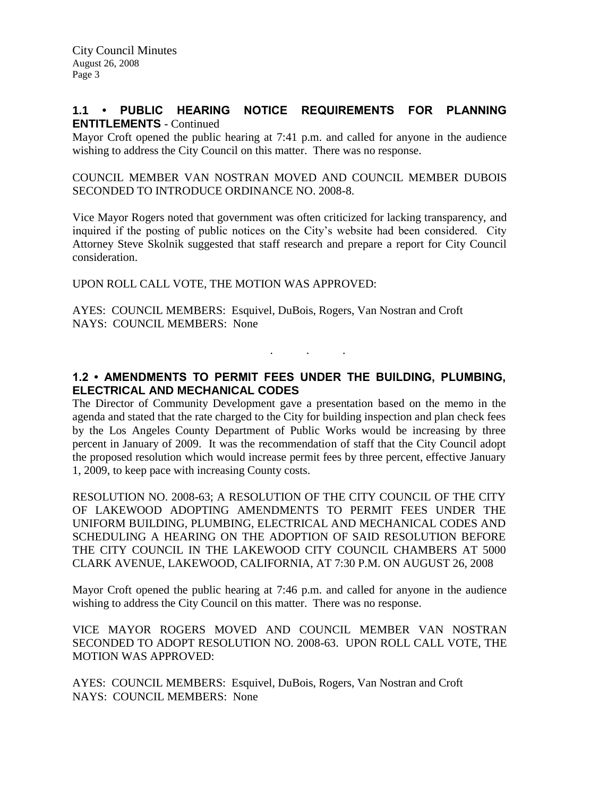## **1.1 • PUBLIC HEARING NOTICE REQUIREMENTS FOR PLANNING ENTITLEMENTS** - Continued

Mayor Croft opened the public hearing at 7:41 p.m. and called for anyone in the audience wishing to address the City Council on this matter. There was no response.

COUNCIL MEMBER VAN NOSTRAN MOVED AND COUNCIL MEMBER DUBOIS SECONDED TO INTRODUCE ORDINANCE NO. 2008-8.

Vice Mayor Rogers noted that government was often criticized for lacking transparency, and inquired if the posting of public notices on the City's website had been considered. City Attorney Steve Skolnik suggested that staff research and prepare a report for City Council consideration.

UPON ROLL CALL VOTE, THE MOTION WAS APPROVED:

AYES: COUNCIL MEMBERS: Esquivel, DuBois, Rogers, Van Nostran and Croft NAYS: COUNCIL MEMBERS: None

## **1.2 • AMENDMENTS TO PERMIT FEES UNDER THE BUILDING, PLUMBING, ELECTRICAL AND MECHANICAL CODES**

. . .

The Director of Community Development gave a presentation based on the memo in the agenda and stated that the rate charged to the City for building inspection and plan check fees by the Los Angeles County Department of Public Works would be increasing by three percent in January of 2009. It was the recommendation of staff that the City Council adopt the proposed resolution which would increase permit fees by three percent, effective January 1, 2009, to keep pace with increasing County costs.

RESOLUTION NO. 2008-63; A RESOLUTION OF THE CITY COUNCIL OF THE CITY OF LAKEWOOD ADOPTING AMENDMENTS TO PERMIT FEES UNDER THE UNIFORM BUILDING, PLUMBING, ELECTRICAL AND MECHANICAL CODES AND SCHEDULING A HEARING ON THE ADOPTION OF SAID RESOLUTION BEFORE THE CITY COUNCIL IN THE LAKEWOOD CITY COUNCIL CHAMBERS AT 5000 CLARK AVENUE, LAKEWOOD, CALIFORNIA, AT 7:30 P.M. ON AUGUST 26, 2008

Mayor Croft opened the public hearing at 7:46 p.m. and called for anyone in the audience wishing to address the City Council on this matter. There was no response.

VICE MAYOR ROGERS MOVED AND COUNCIL MEMBER VAN NOSTRAN SECONDED TO ADOPT RESOLUTION NO. 2008-63. UPON ROLL CALL VOTE, THE MOTION WAS APPROVED:

AYES: COUNCIL MEMBERS: Esquivel, DuBois, Rogers, Van Nostran and Croft NAYS: COUNCIL MEMBERS: None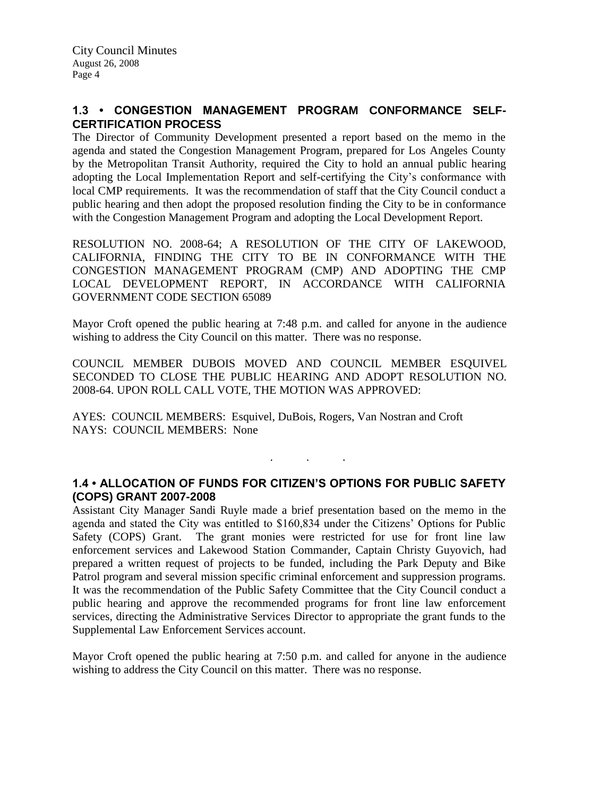## **1.3 • CONGESTION MANAGEMENT PROGRAM CONFORMANCE SELF-CERTIFICATION PROCESS**

The Director of Community Development presented a report based on the memo in the agenda and stated the Congestion Management Program, prepared for Los Angeles County by the Metropolitan Transit Authority, required the City to hold an annual public hearing adopting the Local Implementation Report and self-certifying the City's conformance with local CMP requirements. It was the recommendation of staff that the City Council conduct a public hearing and then adopt the proposed resolution finding the City to be in conformance with the Congestion Management Program and adopting the Local Development Report.

RESOLUTION NO. 2008-64; A RESOLUTION OF THE CITY OF LAKEWOOD, CALIFORNIA, FINDING THE CITY TO BE IN CONFORMANCE WITH THE CONGESTION MANAGEMENT PROGRAM (CMP) AND ADOPTING THE CMP LOCAL DEVELOPMENT REPORT, IN ACCORDANCE WITH CALIFORNIA GOVERNMENT CODE SECTION 65089

Mayor Croft opened the public hearing at 7:48 p.m. and called for anyone in the audience wishing to address the City Council on this matter. There was no response.

COUNCIL MEMBER DUBOIS MOVED AND COUNCIL MEMBER ESQUIVEL SECONDED TO CLOSE THE PUBLIC HEARING AND ADOPT RESOLUTION NO. 2008-64. UPON ROLL CALL VOTE, THE MOTION WAS APPROVED:

AYES: COUNCIL MEMBERS: Esquivel, DuBois, Rogers, Van Nostran and Croft NAYS: COUNCIL MEMBERS: None

## **1.4 • ALLOCATION OF FUNDS FOR CITIZEN'S OPTIONS FOR PUBLIC SAFETY (COPS) GRANT 2007-2008**

. . .

Assistant City Manager Sandi Ruyle made a brief presentation based on the memo in the agenda and stated the City was entitled to \$160,834 under the Citizens' Options for Public Safety (COPS) Grant. The grant monies were restricted for use for front line law enforcement services and Lakewood Station Commander, Captain Christy Guyovich, had prepared a written request of projects to be funded, including the Park Deputy and Bike Patrol program and several mission specific criminal enforcement and suppression programs. It was the recommendation of the Public Safety Committee that the City Council conduct a public hearing and approve the recommended programs for front line law enforcement services, directing the Administrative Services Director to appropriate the grant funds to the Supplemental Law Enforcement Services account.

Mayor Croft opened the public hearing at 7:50 p.m. and called for anyone in the audience wishing to address the City Council on this matter. There was no response.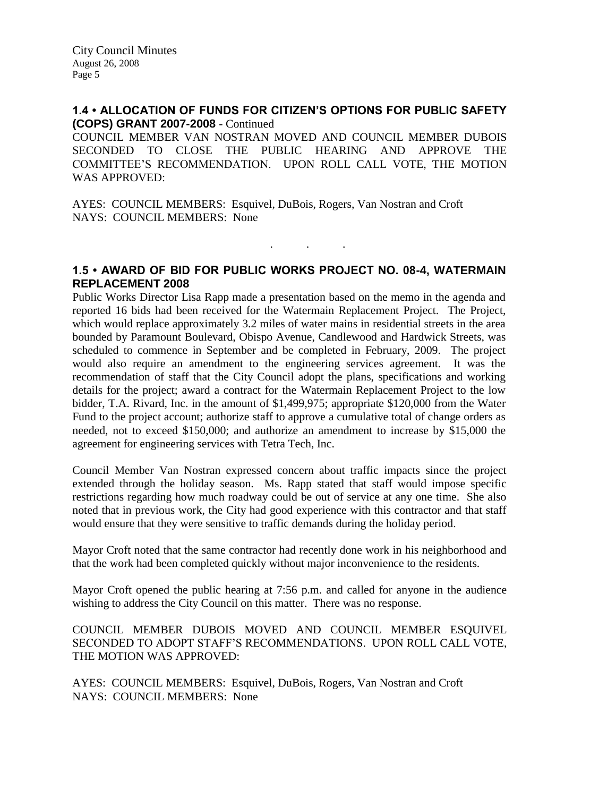## **1.4 • ALLOCATION OF FUNDS FOR CITIZEN'S OPTIONS FOR PUBLIC SAFETY (COPS) GRANT 2007-2008** - Continued

COUNCIL MEMBER VAN NOSTRAN MOVED AND COUNCIL MEMBER DUBOIS SECONDED TO CLOSE THE PUBLIC HEARING AND APPROVE THE COMMITTEE'S RECOMMENDATION. UPON ROLL CALL VOTE, THE MOTION WAS APPROVED:

AYES: COUNCIL MEMBERS: Esquivel, DuBois, Rogers, Van Nostran and Croft NAYS: COUNCIL MEMBERS: None

## **1.5 • AWARD OF BID FOR PUBLIC WORKS PROJECT NO. 08-4, WATERMAIN REPLACEMENT 2008**

. . .

Public Works Director Lisa Rapp made a presentation based on the memo in the agenda and reported 16 bids had been received for the Watermain Replacement Project. The Project, which would replace approximately 3.2 miles of water mains in residential streets in the area bounded by Paramount Boulevard, Obispo Avenue, Candlewood and Hardwick Streets, was scheduled to commence in September and be completed in February, 2009. The project would also require an amendment to the engineering services agreement. It was the recommendation of staff that the City Council adopt the plans, specifications and working details for the project; award a contract for the Watermain Replacement Project to the low bidder, T.A. Rivard, Inc. in the amount of \$1,499,975; appropriate \$120,000 from the Water Fund to the project account; authorize staff to approve a cumulative total of change orders as needed, not to exceed \$150,000; and authorize an amendment to increase by \$15,000 the agreement for engineering services with Tetra Tech, Inc.

Council Member Van Nostran expressed concern about traffic impacts since the project extended through the holiday season. Ms. Rapp stated that staff would impose specific restrictions regarding how much roadway could be out of service at any one time. She also noted that in previous work, the City had good experience with this contractor and that staff would ensure that they were sensitive to traffic demands during the holiday period.

Mayor Croft noted that the same contractor had recently done work in his neighborhood and that the work had been completed quickly without major inconvenience to the residents.

Mayor Croft opened the public hearing at 7:56 p.m. and called for anyone in the audience wishing to address the City Council on this matter. There was no response.

COUNCIL MEMBER DUBOIS MOVED AND COUNCIL MEMBER ESQUIVEL SECONDED TO ADOPT STAFF'S RECOMMENDATIONS. UPON ROLL CALL VOTE, THE MOTION WAS APPROVED:

AYES: COUNCIL MEMBERS: Esquivel, DuBois, Rogers, Van Nostran and Croft NAYS: COUNCIL MEMBERS: None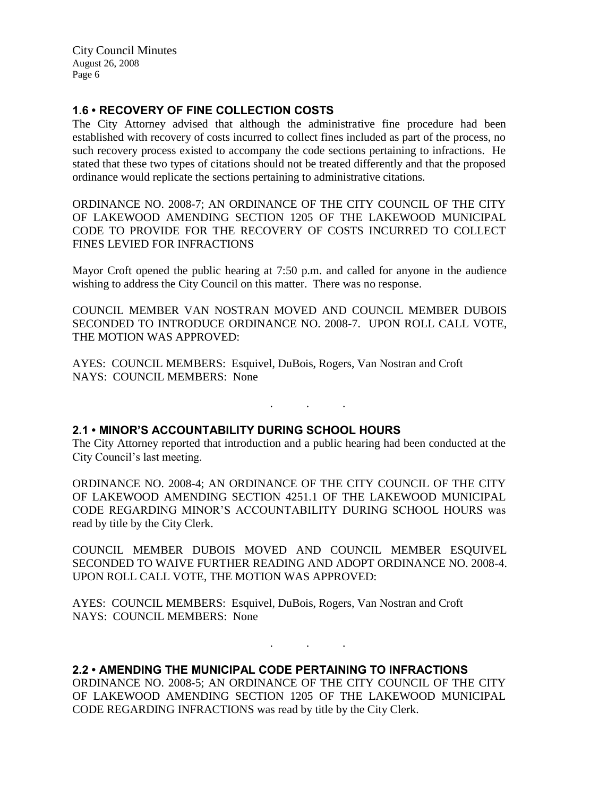City Council Minutes August 26, 2008 Page 6

## **1.6 • RECOVERY OF FINE COLLECTION COSTS**

The City Attorney advised that although the administrative fine procedure had been established with recovery of costs incurred to collect fines included as part of the process, no such recovery process existed to accompany the code sections pertaining to infractions. He stated that these two types of citations should not be treated differently and that the proposed ordinance would replicate the sections pertaining to administrative citations.

ORDINANCE NO. 2008-7; AN ORDINANCE OF THE CITY COUNCIL OF THE CITY OF LAKEWOOD AMENDING SECTION 1205 OF THE LAKEWOOD MUNICIPAL CODE TO PROVIDE FOR THE RECOVERY OF COSTS INCURRED TO COLLECT FINES LEVIED FOR INFRACTIONS

Mayor Croft opened the public hearing at 7:50 p.m. and called for anyone in the audience wishing to address the City Council on this matter. There was no response.

COUNCIL MEMBER VAN NOSTRAN MOVED AND COUNCIL MEMBER DUBOIS SECONDED TO INTRODUCE ORDINANCE NO. 2008-7. UPON ROLL CALL VOTE, THE MOTION WAS APPROVED:

AYES: COUNCIL MEMBERS: Esquivel, DuBois, Rogers, Van Nostran and Croft NAYS: COUNCIL MEMBERS: None

## **2.1 • MINOR'S ACCOUNTABILITY DURING SCHOOL HOURS**

The City Attorney reported that introduction and a public hearing had been conducted at the City Council's last meeting.

. . .

ORDINANCE NO. 2008-4; AN ORDINANCE OF THE CITY COUNCIL OF THE CITY OF LAKEWOOD AMENDING SECTION 4251.1 OF THE LAKEWOOD MUNICIPAL CODE REGARDING MINOR'S ACCOUNTABILITY DURING SCHOOL HOURS was read by title by the City Clerk.

COUNCIL MEMBER DUBOIS MOVED AND COUNCIL MEMBER ESQUIVEL SECONDED TO WAIVE FURTHER READING AND ADOPT ORDINANCE NO. 2008-4. UPON ROLL CALL VOTE, THE MOTION WAS APPROVED:

AYES: COUNCIL MEMBERS: Esquivel, DuBois, Rogers, Van Nostran and Croft NAYS: COUNCIL MEMBERS: None

**2.2 • AMENDING THE MUNICIPAL CODE PERTAINING TO INFRACTIONS**

ORDINANCE NO. 2008-5; AN ORDINANCE OF THE CITY COUNCIL OF THE CITY OF LAKEWOOD AMENDING SECTION 1205 OF THE LAKEWOOD MUNICIPAL CODE REGARDING INFRACTIONS was read by title by the City Clerk.

. . .